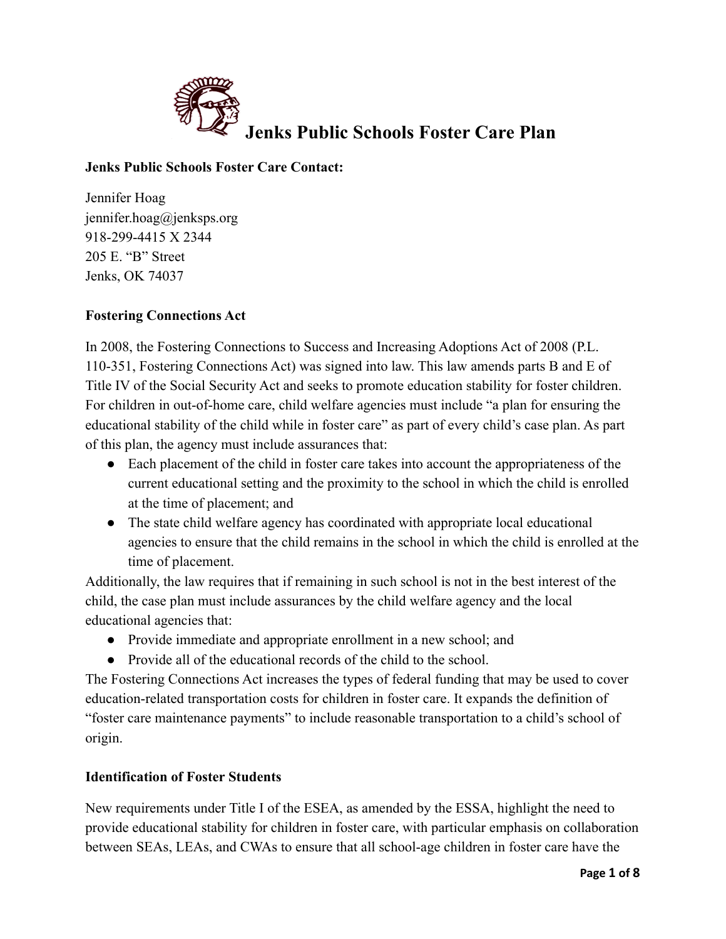

# **Jenks Public Schools Foster Care Contact:**

Jennifer Hoag jennifer.hoag@jenksps.org 918-299-4415 X 2344 205 E. "B" Street Jenks, OK 74037

# **Fostering Connections Act**

In 2008, the Fostering Connections to Success and Increasing Adoptions Act of 2008 (P.L. 110-351, Fostering Connections Act) was signed into law. This law amends parts B and E of Title IV of the Social Security Act and seeks to promote education stability for foster children. For children in out-of-home care, child welfare agencies must include "a plan for ensuring the educational stability of the child while in foster care" as part of every child's case plan. As part of this plan, the agency must include assurances that:

- Each placement of the child in foster care takes into account the appropriateness of the current educational setting and the proximity to the school in which the child is enrolled at the time of placement; and
- The state child welfare agency has coordinated with appropriate local educational agencies to ensure that the child remains in the school in which the child is enrolled at the time of placement.

Additionally, the law requires that if remaining in such school is not in the best interest of the child, the case plan must include assurances by the child welfare agency and the local educational agencies that:

- Provide immediate and appropriate enrollment in a new school; and
- Provide all of the educational records of the child to the school.

The Fostering Connections Act increases the types of federal funding that may be used to cover education-related transportation costs for children in foster care. It expands the definition of "foster care maintenance payments" to include reasonable transportation to a child's school of origin.

# **Identification of Foster Students**

New requirements under Title I of the ESEA, as amended by the ESSA, highlight the need to provide educational stability for children in foster care, with particular emphasis on collaboration between SEAs, LEAs, and CWAs to ensure that all school-age children in foster care have the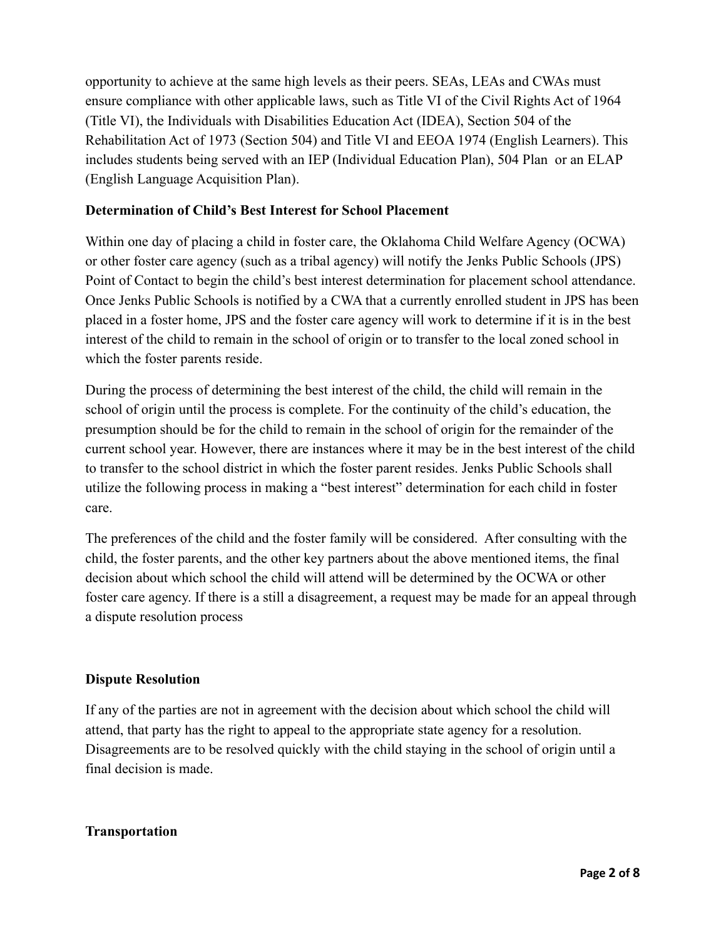opportunity to achieve at the same high levels as their peers. SEAs, LEAs and CWAs must ensure compliance with other applicable laws, such as Title VI of the Civil Rights Act of 1964 (Title VI), the Individuals with Disabilities Education Act (IDEA), Section 504 of the Rehabilitation Act of 1973 (Section 504) and Title VI and EEOA 1974 (English Learners). This includes students being served with an IEP (Individual Education Plan), 504 Plan or an ELAP (English Language Acquisition Plan).

# **Determination of Child's Best Interest for School Placement**

Within one day of placing a child in foster care, the Oklahoma Child Welfare Agency (OCWA) or other foster care agency (such as a tribal agency) will notify the Jenks Public Schools (JPS) Point of Contact to begin the child's best interest determination for placement school attendance. Once Jenks Public Schools is notified by a CWA that a currently enrolled student in JPS has been placed in a foster home, JPS and the foster care agency will work to determine if it is in the best interest of the child to remain in the school of origin or to transfer to the local zoned school in which the foster parents reside.

During the process of determining the best interest of the child, the child will remain in the school of origin until the process is complete. For the continuity of the child's education, the presumption should be for the child to remain in the school of origin for the remainder of the current school year. However, there are instances where it may be in the best interest of the child to transfer to the school district in which the foster parent resides. Jenks Public Schools shall utilize the following process in making a "best interest" determination for each child in foster care.

The preferences of the child and the foster family will be considered. After consulting with the child, the foster parents, and the other key partners about the above mentioned items, the final decision about which school the child will attend will be determined by the OCWA or other foster care agency. If there is a still a disagreement, a request may be made for an appeal through a dispute resolution process

# **Dispute Resolution**

If any of the parties are not in agreement with the decision about which school the child will attend, that party has the right to appeal to the appropriate state agency for a resolution. Disagreements are to be resolved quickly with the child staying in the school of origin until a final decision is made.

# **Transportation**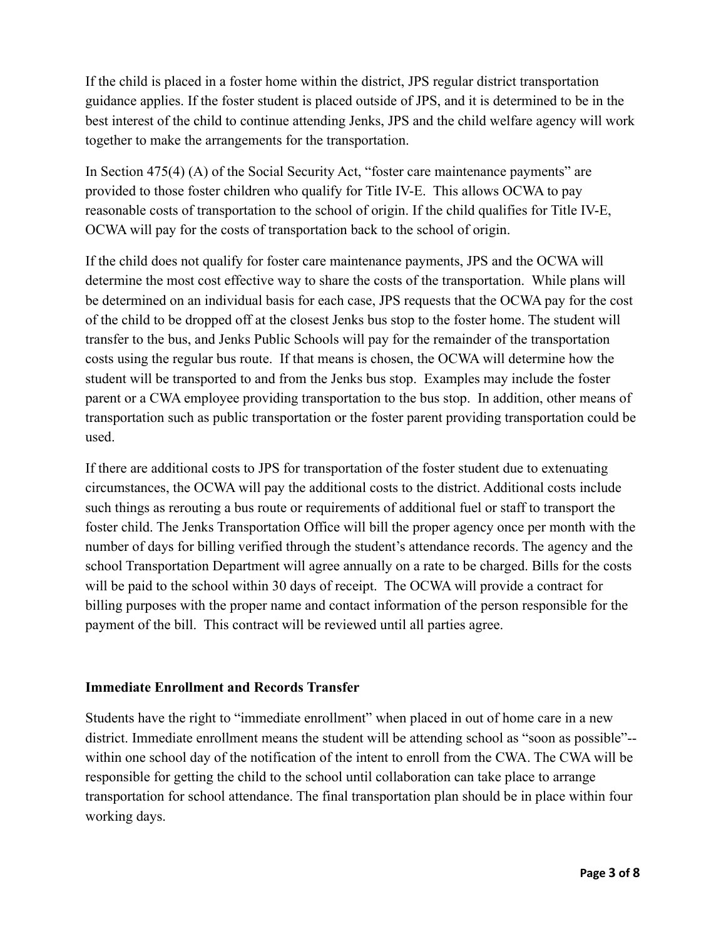If the child is placed in a foster home within the district, JPS regular district transportation guidance applies. If the foster student is placed outside of JPS, and it is determined to be in the best interest of the child to continue attending Jenks, JPS and the child welfare agency will work together to make the arrangements for the transportation.

In Section 475(4) (A) of the Social Security Act, "foster care maintenance payments" are provided to those foster children who qualify for Title IV-E. This allows OCWA to pay reasonable costs of transportation to the school of origin. If the child qualifies for Title IV-E, OCWA will pay for the costs of transportation back to the school of origin.

If the child does not qualify for foster care maintenance payments, JPS and the OCWA will determine the most cost effective way to share the costs of the transportation. While plans will be determined on an individual basis for each case, JPS requests that the OCWA pay for the cost of the child to be dropped off at the closest Jenks bus stop to the foster home. The student will transfer to the bus, and Jenks Public Schools will pay for the remainder of the transportation costs using the regular bus route. If that means is chosen, the OCWA will determine how the student will be transported to and from the Jenks bus stop. Examples may include the foster parent or a CWA employee providing transportation to the bus stop. In addition, other means of transportation such as public transportation or the foster parent providing transportation could be used.

If there are additional costs to JPS for transportation of the foster student due to extenuating circumstances, the OCWA will pay the additional costs to the district. Additional costs include such things as rerouting a bus route or requirements of additional fuel or staff to transport the foster child. The Jenks Transportation Office will bill the proper agency once per month with the number of days for billing verified through the student's attendance records. The agency and the school Transportation Department will agree annually on a rate to be charged. Bills for the costs will be paid to the school within 30 days of receipt. The OCWA will provide a contract for billing purposes with the proper name and contact information of the person responsible for the payment of the bill. This contract will be reviewed until all parties agree.

### **Immediate Enrollment and Records Transfer**

Students have the right to "immediate enrollment" when placed in out of home care in a new district. Immediate enrollment means the student will be attending school as "soon as possible"- within one school day of the notification of the intent to enroll from the CWA. The CWA will be responsible for getting the child to the school until collaboration can take place to arrange transportation for school attendance. The final transportation plan should be in place within four working days.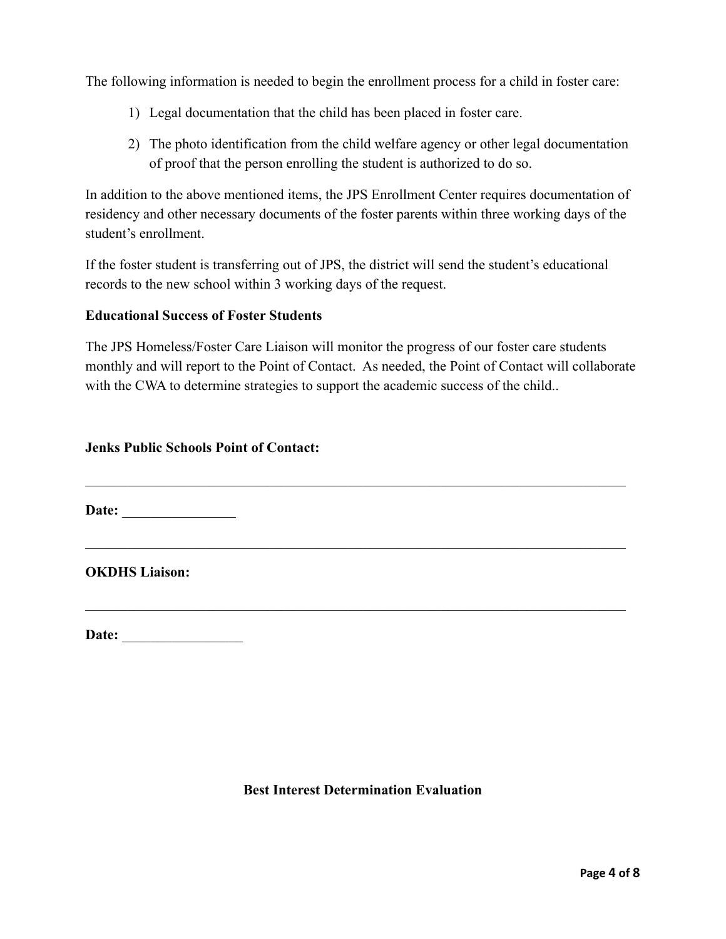The following information is needed to begin the enrollment process for a child in foster care:

- 1) Legal documentation that the child has been placed in foster care.
- 2) The photo identification from the child welfare agency or other legal documentation of proof that the person enrolling the student is authorized to do so.

In addition to the above mentioned items, the JPS Enrollment Center requires documentation of residency and other necessary documents of the foster parents within three working days of the student's enrollment.

If the foster student is transferring out of JPS, the district will send the student's educational records to the new school within 3 working days of the request.

### **Educational Success of Foster Students**

The JPS Homeless/Foster Care Liaison will monitor the progress of our foster care students monthly and will report to the Point of Contact. As needed, the Point of Contact will collaborate with the CWA to determine strategies to support the academic success of the child...

 $\mathcal{L}_\text{max}$  , and the contribution of the contribution of the contribution of the contribution of the contribution of

 $\mathcal{L}_\text{max}$  , and the contribution of the contribution of the contribution of the contribution of the contribution of

 $\mathcal{L}_\text{max}$  , and the contribution of the contribution of the contribution of the contribution of the contribution of

### **Jenks Public Schools Point of Contact:**

Date:

**OKDHS Liaison:**

**Date:** \_\_\_\_\_\_\_\_\_\_\_\_\_\_\_\_\_

### **Best Interest Determination Evaluation**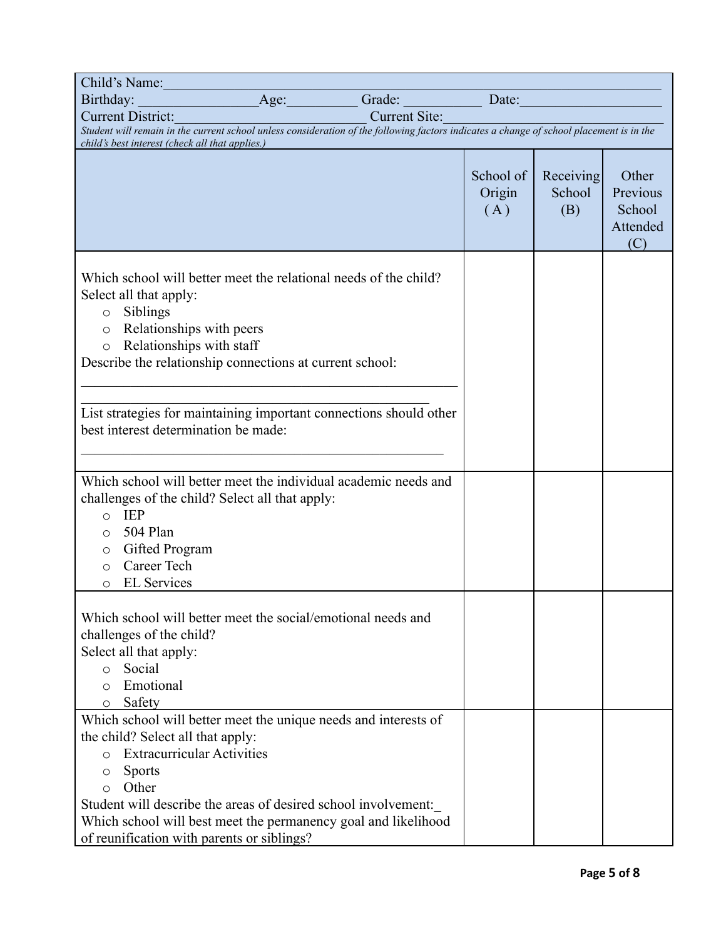| Child's Name:                                                                                                                                                                                                                                                                                                                                                                    |  |                         |                            |                            |                                                |
|----------------------------------------------------------------------------------------------------------------------------------------------------------------------------------------------------------------------------------------------------------------------------------------------------------------------------------------------------------------------------------|--|-------------------------|----------------------------|----------------------------|------------------------------------------------|
| Birthday:                                                                                                                                                                                                                                                                                                                                                                        |  | Age: Grade: Date: Date: |                            |                            |                                                |
| <b>Current District:</b>                                                                                                                                                                                                                                                                                                                                                         |  | <b>Current Site:</b>    |                            |                            |                                                |
| Student will remain in the current school unless consideration of the following factors indicates a change of school placement is in the                                                                                                                                                                                                                                         |  |                         |                            |                            |                                                |
| child's best interest (check all that applies.)                                                                                                                                                                                                                                                                                                                                  |  |                         |                            |                            |                                                |
|                                                                                                                                                                                                                                                                                                                                                                                  |  |                         | School of<br>Origin<br>(A) | Receiving<br>School<br>(B) | Other<br>Previous<br>School<br>Attended<br>(C) |
| Which school will better meet the relational needs of the child?<br>Select all that apply:<br>$\circ$ Siblings<br>o Relationships with peers<br>Relationships with staff<br>$\circ$<br>Describe the relationship connections at current school:                                                                                                                                  |  |                         |                            |                            |                                                |
| List strategies for maintaining important connections should other<br>best interest determination be made:                                                                                                                                                                                                                                                                       |  |                         |                            |                            |                                                |
| Which school will better meet the individual academic needs and<br>challenges of the child? Select all that apply:<br>IEP<br>$\circ$<br>504 Plan<br>$\circ$<br>Gifted Program<br>$\circ$<br>Career Tech<br>$\circ$<br><b>EL Services</b><br>$\circ$                                                                                                                              |  |                         |                            |                            |                                                |
| Which school will better meet the social/emotional needs and<br>challenges of the child?<br>Select all that apply:<br>Social<br>$\circ$<br>Emotional<br>O<br>Safety<br>$\circ$                                                                                                                                                                                                   |  |                         |                            |                            |                                                |
| Which school will better meet the unique needs and interests of<br>the child? Select all that apply:<br><b>Extracurricular Activities</b><br>$\circ$<br><b>Sports</b><br>O<br>Other<br>$\circ$<br>Student will describe the areas of desired school involvement:<br>Which school will best meet the permanency goal and likelihood<br>of reunification with parents or siblings? |  |                         |                            |                            |                                                |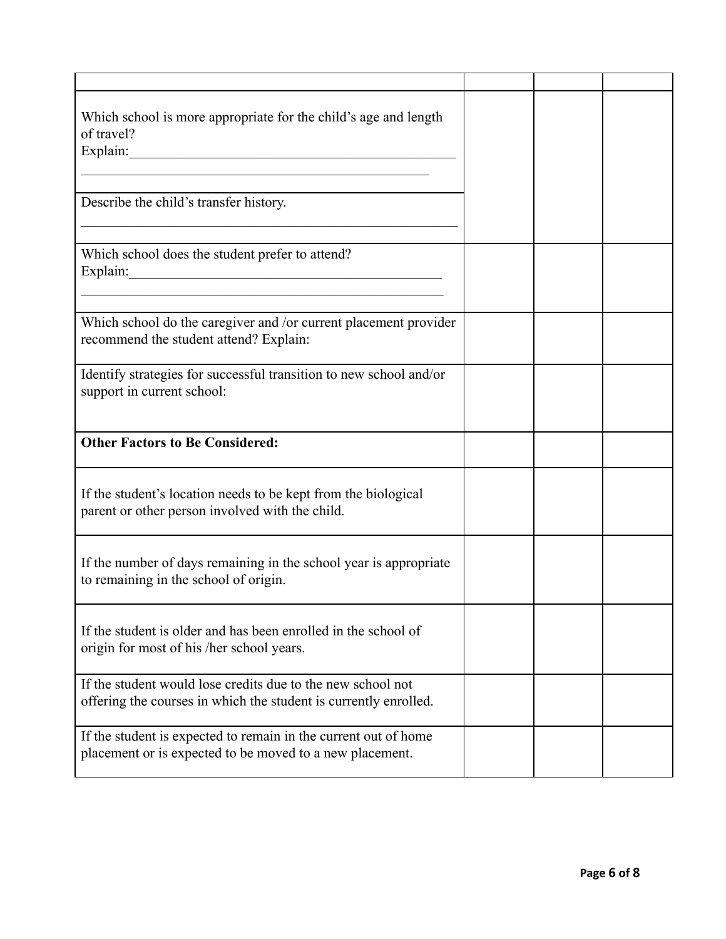| Which school is more appropriate for the child's age and length<br>of travel?<br>Explain:<br><u> 1989 - Johann John Stone, mars eta bainar eta bainar eta baina eta baina eta baina eta baina eta baina eta b</u> |  |  |
|-------------------------------------------------------------------------------------------------------------------------------------------------------------------------------------------------------------------|--|--|
| Describe the child's transfer history.                                                                                                                                                                            |  |  |
| Which school does the student prefer to attend?                                                                                                                                                                   |  |  |
| Which school do the caregiver and /or current placement provider<br>recommend the student attend? Explain:                                                                                                        |  |  |
| Identify strategies for successful transition to new school and/or<br>support in current school:                                                                                                                  |  |  |
| <b>Other Factors to Be Considered:</b>                                                                                                                                                                            |  |  |
| If the student's location needs to be kept from the biological<br>parent or other person involved with the child.                                                                                                 |  |  |
| If the number of days remaining in the school year is appropriate<br>to remaining in the school of origin.                                                                                                        |  |  |
| If the student is older and has been enrolled in the school of<br>origin for most of his /her school years.                                                                                                       |  |  |
| If the student would lose credits due to the new school not<br>offering the courses in which the student is currently enrolled.                                                                                   |  |  |
| If the student is expected to remain in the current out of home<br>placement or is expected to be moved to a new placement.                                                                                       |  |  |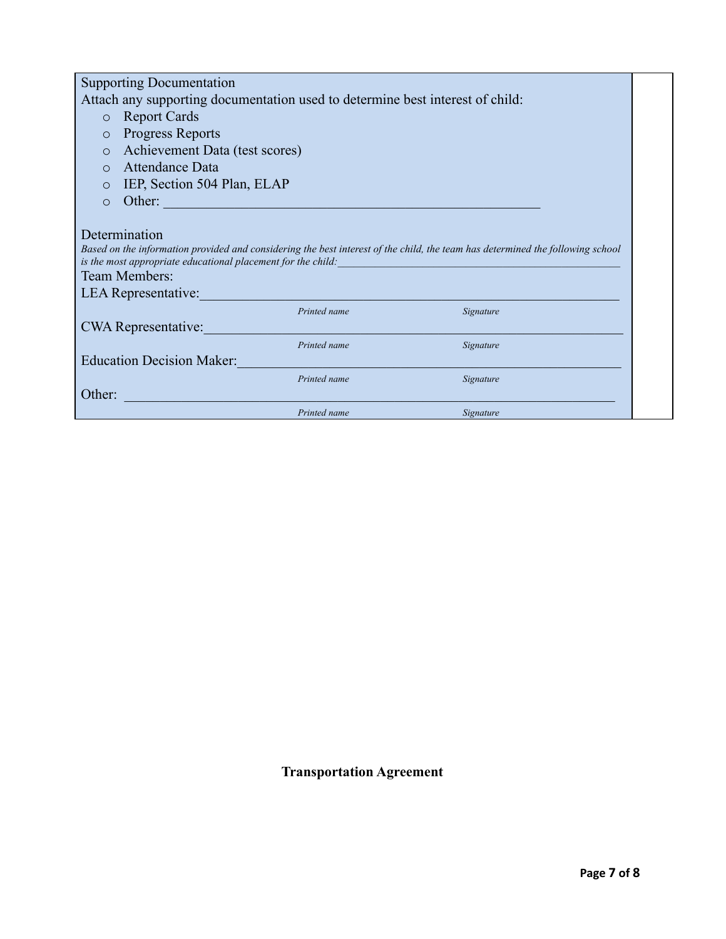| <b>Supporting Documentation</b>                                                                                                                                                                                                                         |                                |              |           |  |  |
|---------------------------------------------------------------------------------------------------------------------------------------------------------------------------------------------------------------------------------------------------------|--------------------------------|--------------|-----------|--|--|
| Attach any supporting documentation used to determine best interest of child:                                                                                                                                                                           |                                |              |           |  |  |
| $\circ$                                                                                                                                                                                                                                                 | <b>Report Cards</b>            |              |           |  |  |
| $\circ$                                                                                                                                                                                                                                                 | <b>Progress Reports</b>        |              |           |  |  |
| $\circ$                                                                                                                                                                                                                                                 | Achievement Data (test scores) |              |           |  |  |
| $\bigcap$                                                                                                                                                                                                                                               | Attendance Data                |              |           |  |  |
| $\circ$                                                                                                                                                                                                                                                 | IEP, Section 504 Plan, ELAP    |              |           |  |  |
| $\circ$                                                                                                                                                                                                                                                 | Other:                         |              |           |  |  |
| Determination<br>Based on the information provided and considering the best interest of the child, the team has determined the following school<br>is the most appropriate educational placement for the child:<br>Team Members:<br>LEA Representative: |                                |              |           |  |  |
|                                                                                                                                                                                                                                                         |                                | Printed name | Signature |  |  |
| <b>CWA Representative:</b>                                                                                                                                                                                                                              |                                |              |           |  |  |
| Printed name<br>Signature<br><b>Education Decision Maker:</b>                                                                                                                                                                                           |                                |              |           |  |  |
|                                                                                                                                                                                                                                                         |                                | Printed name | Signature |  |  |
| Other:                                                                                                                                                                                                                                                  |                                |              |           |  |  |
|                                                                                                                                                                                                                                                         |                                | Printed name | Signature |  |  |

**Transportation Agreement**